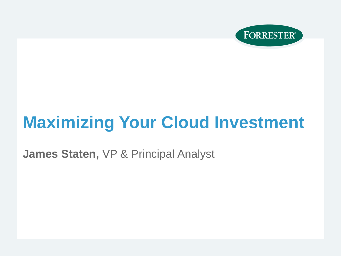

# **Maximizing Your Cloud Investment**

**James Staten,** VP & Principal Analyst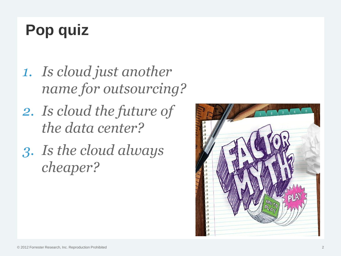# **Pop quiz**

- *1. Is cloud just another name for outsourcing?*
- *2. Is cloud the future of the data center?*
- *3. Is the cloud always cheaper?*

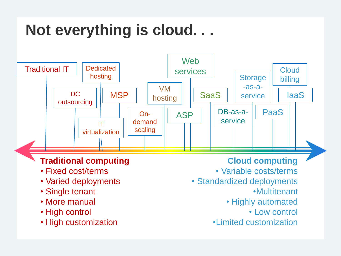## **Not everything is cloud. . .**

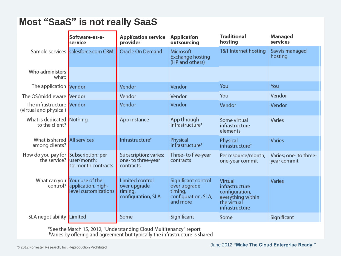#### **Most "SaaS" is not really SaaS**

| Software-as-a-<br>service                           |                                                                                     | <b>Application service</b><br>provider                           | <b>Application</b><br>outsourcing                                                 | <b>Traditional</b><br>hosting                                                                     | <b>Managed</b><br>services            |  |
|-----------------------------------------------------|-------------------------------------------------------------------------------------|------------------------------------------------------------------|-----------------------------------------------------------------------------------|---------------------------------------------------------------------------------------------------|---------------------------------------|--|
|                                                     | Sample services salesforce.com CRM                                                  | Oracle On Demand                                                 | Microsoft<br><b>Exchange hosting</b><br>(HP and others)                           | 1&1 Internet hosting                                                                              | Savvis managed<br>hosting             |  |
| Who administers<br>what:                            |                                                                                     |                                                                  |                                                                                   |                                                                                                   |                                       |  |
| The application Vendor                              |                                                                                     | Vendor                                                           | Vendor                                                                            | You                                                                                               | You                                   |  |
| The OS/middleware Vendor                            |                                                                                     | Vendor                                                           | Vendor                                                                            | You                                                                                               | Vendor                                |  |
| The infrastructure Vendor<br>(virtual and physical) |                                                                                     | Vendor                                                           | Vendor                                                                            | Vendor                                                                                            | Vendor                                |  |
| What is dedicated Nothing<br>to the client?         |                                                                                     | App instance                                                     | App through<br>infrastructure <sup>+</sup>                                        | Some virtual<br>infrastructure<br>elements                                                        | Varies                                |  |
| What is shared All services<br>among clients?       |                                                                                     | Infrastructure <sup>†</sup>                                      | Physical<br>infrastructure <sup>+</sup>                                           | Physical<br>infrastructure <sup>†</sup>                                                           | <b>Varies</b>                         |  |
| How do you pay for Subscription; per                | the service? user/month;<br>12-month contracts                                      | Subscription: varies;<br>one-to three-year<br>contracts          | Three-to five-year<br>contracts                                                   | Per resource/month;<br>one-year commit                                                            | Varies; one- to three-<br>year commit |  |
|                                                     | What can you Your use of the<br>control? application, high-<br>level customizations | Limited control<br>over upgrade<br>timing,<br>configuration, SLA | Significant control<br>over upgrade<br>timing,<br>configuration, SLA,<br>and more | Virtual<br>infrastructure<br>configuration,<br>everything within<br>the virtual<br>infrastructure | <b>Varies</b>                         |  |
| <b>SLA</b> negotiability <b>Limited</b>             |                                                                                     | Some                                                             | Significant                                                                       | Some                                                                                              | Significant                           |  |

\*See the March 15, 2012, "Understanding Cloud Multitenancy" report<br>"Varies by offering and agreement but typically the infrastructure is shared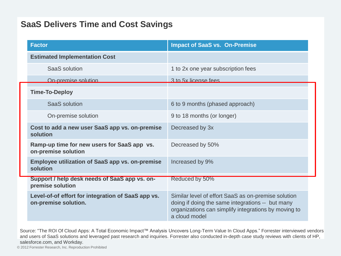#### **SaaS Delivers Time and Cost Savings**

| <b>Factor</b>                                                              | <b>Impact of SaaS vs. On-Premise</b>                                                                                                                                             |
|----------------------------------------------------------------------------|----------------------------------------------------------------------------------------------------------------------------------------------------------------------------------|
| <b>Estimated Implementation Cost</b>                                       |                                                                                                                                                                                  |
| SaaS solution                                                              | 1 to 2x one year subscription fees                                                                                                                                               |
| On-premise solution                                                        | 3 to 5x license fees                                                                                                                                                             |
| <b>Time-To-Deploy</b>                                                      |                                                                                                                                                                                  |
| SaaS solution                                                              | 6 to 9 months (phased approach)                                                                                                                                                  |
| On-premise solution                                                        | 9 to 18 months (or longer)                                                                                                                                                       |
| Cost to add a new user SaaS app vs. on-premise<br>solution                 | Decreased by 3x                                                                                                                                                                  |
| Ramp-up time for new users for SaaS app vs.<br>on-premise solution         | Decreased by 50%                                                                                                                                                                 |
| <b>Employee utilization of SaaS app vs. on-premise</b><br>solution         | Increased by 9%                                                                                                                                                                  |
| Support / help desk needs of SaaS app vs. on-<br>premise solution          | Reduced by 50%                                                                                                                                                                   |
| Level-of-of effort for integration of SaaS app vs.<br>on-premise solution. | Similar level of effort SaaS as on-premise solution<br>doing if doing the same integrations -- but many<br>organizations can simplify integrations by moving to<br>a cloud model |

Source: "The ROI Of Cloud Apps: A Total Economic Impact™ Analysis Uncovers Long-Term Value In Cloud Apps." Forrester interviewed vendors and users of SaaS solutions and leveraged past research and inquiries. Forrester also conducted in-depth case study reviews with clients of HP, salesforce.com, and Workday.

© 2012 Forrester Research, Inc. Reproduction Prohibited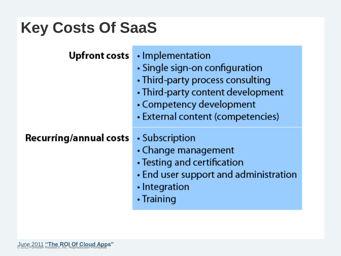### **Key Costs Of SaaS**

|  |  |  | Upfront costs • In |  |  |
|--|--|--|--------------------|--|--|
|--|--|--|--------------------|--|--|

- nplementation
- Single sign-on configuration
- Third-party process consulting
- Third-party content development
- Competency development
- External content (competencies)

#### Recurring/annual costs

- Subscription
- Change management
- Testing and certification
- End user support and administration
- · Integration
- Training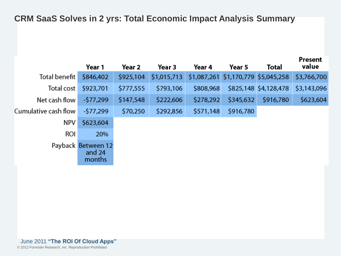#### **CRM SaaS Solves in 2 yrs: Total Economic Impact Analysis Summary**

|                      | Year 1                                 | Year 2    | Year 3      | Year 4    | Year 5                              | Total                 | Present<br>value |
|----------------------|----------------------------------------|-----------|-------------|-----------|-------------------------------------|-----------------------|------------------|
| Total benefit        | \$846,402                              | \$925,104 | \$1,015,713 |           | \$1,087,261 \$1,170,779 \$5,045,258 |                       | \$3,766,700      |
| Total cost           | \$923,701                              | \$777,555 | \$793,106   | \$808,968 |                                     | \$825,148 \$4,128,478 | \$3,143,096      |
| Net cash flow        | $-577,299$                             | \$147,548 | \$222,606   | \$278,292 | \$345,632                           | \$916,780             | \$623,604        |
| Cumulative cash flow | -\$77,299                              | \$70,250  | \$292,856   | \$571,148 | \$916,780                           |                       |                  |
| NPV                  | \$623,604                              |           |             |           |                                     |                       |                  |
| ROI                  | 20%                                    |           |             |           |                                     |                       |                  |
|                      | Payback Between 12<br>and 24<br>months |           |             |           |                                     |                       |                  |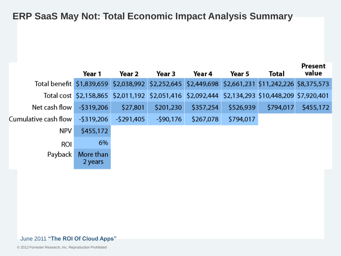**ERP SaaS May Not: Total Economic Impact Analysis Summary**

|                                                                                                    | Year 1               | Year 2      | Year 3     | Year 4    | Year 5    | Total                                                                                           | Present<br>value |
|----------------------------------------------------------------------------------------------------|----------------------|-------------|------------|-----------|-----------|-------------------------------------------------------------------------------------------------|------------------|
| Total benefit \$1,839,659 \$2,038,992 \$2,252,645 \$2,449,698 \$2,661,231 \$11,242,226 \$8,375,573 |                      |             |            |           |           |                                                                                                 |                  |
|                                                                                                    |                      |             |            |           |           | Total cost \$2,158,865 \$2,011,192 \$2,051,416 \$2,092,444 \$2,134,293 \$10,448,209 \$7,920,401 |                  |
| Net cash flow                                                                                      | $-5319,206$          | \$27,801    | \$201,230  | \$357,254 | \$526,939 | \$794,017                                                                                       | \$455,172        |
| Cumulative cash flow                                                                               | $-5319,206$          | $-5291,405$ | $-590,176$ | \$267,078 | \$794,017 |                                                                                                 |                  |
| NPV                                                                                                | \$455,172            |             |            |           |           |                                                                                                 |                  |
| ROI                                                                                                | 6%                   |             |            |           |           |                                                                                                 |                  |
| Payback                                                                                            | More than<br>2 years |             |            |           |           |                                                                                                 |                  |

#### June 2011 **"The ROI Of Cloud Apps"**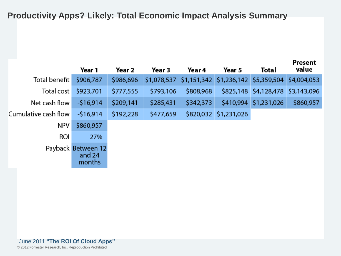#### **Productivity Apps? Likely: Total Economic Impact Analysis Summary**

|                      | Year 1                                 | Year 2    | Year 3    | Year 4                                                      | Year 5                | Total                 | Present<br>value |
|----------------------|----------------------------------------|-----------|-----------|-------------------------------------------------------------|-----------------------|-----------------------|------------------|
| Total benefit        | \$906,787                              | \$986,696 |           | \$1,078,537 \$1,151,342 \$1,236,142 \$5,359,504 \$4,004,053 |                       |                       |                  |
| Total cost           | \$923,701                              | \$777,555 | \$793,106 | \$808,968                                                   |                       | \$825,148 \$4,128,478 | \$3,143,096      |
| Net cash flow        | $-516,914$                             | \$209,141 | \$285,431 | \$342,373                                                   |                       | \$410,994 \$1,231,026 | \$860,957        |
| Cumulative cash flow | $-516,914$                             | \$192,228 | \$477,659 |                                                             | \$820,032 \$1,231,026 |                       |                  |
| NPV                  | \$860,957                              |           |           |                                                             |                       |                       |                  |
| ROI                  | 27%                                    |           |           |                                                             |                       |                       |                  |
|                      | Payback Between 12<br>and 24<br>months |           |           |                                                             |                       |                       |                  |

© 2012 Forrester Research, Inc. Reproduction Prohibited June 2011 **"The ROI Of Cloud Apps"**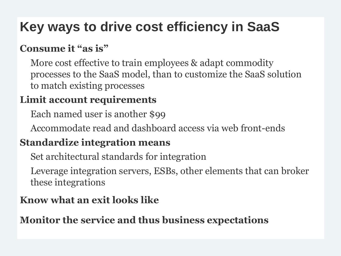### **Key ways to drive cost efficiency in SaaS**

### **Consume it "as is"**

More cost effective to train employees & adapt commodity processes to the SaaS model, than to customize the SaaS solution to match existing processes

### **Limit account requirements**

Each named user is another \$99

Accommodate read and dashboard access via web front-ends

### **Standardize integration means**

Set architectural standards for integration

Leverage integration servers, ESBs, other elements that can broker these integrations

### **Know what an exit looks like**

### **Monitor the service and thus business expectations**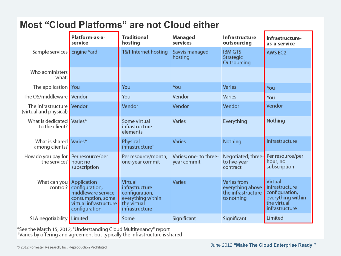### **Most "Cloud Platforms" are not Cloud either**

| Platform-as-a-<br>service                                    |                                                                                                               | <b>Traditional</b><br>hosting                                                                     | <b>Managed</b><br>services            | Infrastructure<br>outsourcing                                       | Infrastructure-<br>as-a-service                                                                   |
|--------------------------------------------------------------|---------------------------------------------------------------------------------------------------------------|---------------------------------------------------------------------------------------------------|---------------------------------------|---------------------------------------------------------------------|---------------------------------------------------------------------------------------------------|
| Sample services   Engine Yard                                |                                                                                                               | 1&1 Internet hosting                                                                              | Savvis managed<br>hosting             | <b>IBM GTS</b><br>Strategic<br>Outsourcing                          | <b>AWS EC2</b>                                                                                    |
| Who administers<br>what:                                     |                                                                                                               |                                                                                                   |                                       |                                                                     |                                                                                                   |
| The application You                                          |                                                                                                               | You                                                                                               | You                                   | <b>Varies</b>                                                       | You                                                                                               |
| The OS/middleware Vendor                                     |                                                                                                               | You                                                                                               | Vendor                                | Varies                                                              | You                                                                                               |
| The infrastructure Vendor<br>(virtual and physical)          |                                                                                                               | Vendor                                                                                            | Vendor                                | Vendor                                                              | Vendor                                                                                            |
| What is dedicated Varies*<br>to the client?                  |                                                                                                               | Some virtual<br>infrastructure<br>elements                                                        | Varies                                | Everything                                                          | Nothing                                                                                           |
| What is shared Varies*<br>among clients?                     |                                                                                                               | Physical<br>infrastructure <sup>†</sup>                                                           | <b>Varies</b>                         | Nothing                                                             | Infrastructure                                                                                    |
| How do you pay for Per resource/per<br>the service? hour; no | subscription                                                                                                  | Per resource/month;<br>one-year commit                                                            | Varies; one- to three-<br>year commit | Negotiated; three-<br>to five-year<br>contract                      | Per resource/per<br>hour; no<br>subscription                                                      |
| What can you <b>Application</b>                              | control? configuration,<br>middleware service<br>consumption, some<br>virtual infrastructure<br>configuration | Virtual<br>infrastructure<br>configuration,<br>everything within<br>the virtual<br>infrastructure | <b>Varies</b>                         | Varies from<br>everything above<br>the infrastructure<br>to nothing | Virtual<br>infrastructure<br>configuration,<br>everything within<br>the virtual<br>infrastructure |
| SLA negotiability Limited                                    |                                                                                                               | Some                                                                                              | Significant                           | Significant                                                         | Limited                                                                                           |

\*See the March 15, 2012, "Understanding Cloud Multitenancy" report<br>TVaries by offering and agreement but typically the infrastructure is shared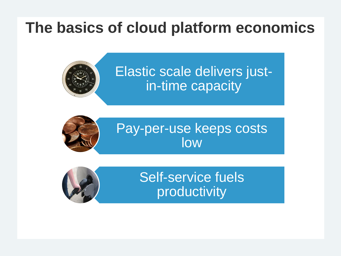### **The basics of cloud platform economics**



Elastic scale delivers justin-time capacity



Pay-per-use keeps costs low



Self-service fuels productivity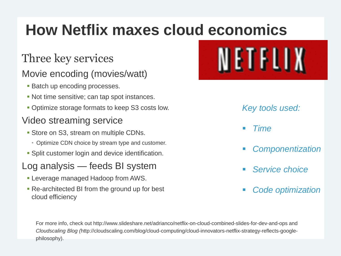# **How Netflix maxes cloud economics**

### Three key services

### Movie encoding (movies/watt)

- **Batch up encoding processes.**
- Not time sensitive; can tap spot instances.
- **Optimize storage formats to keep S3 costs low.**

#### Video streaming service

- **Store on S3, stream on multiple CDNs.** 
	- Optimize CDN choice by stream type and customer.
- **Split customer login and device identification.**

### Log analysis — feeds BI system

- Leverage managed Hadoop from AWS.
- Re-architected BI from the ground up for best cloud efficiency



#### *Key tools used:*

- *Time*
- *Componentization*
- *Service choice*
- *Code optimization*

For more info, check out http://www.slideshare.net/adrianco/netflix-on-cloud-combined-slides-for-dev-and-ops and *Cloudscaling Blog (*http://cloudscaling.com/blog/cloud-computing/cloud-innovators-netflix-strategy-reflects-googlephilosophy).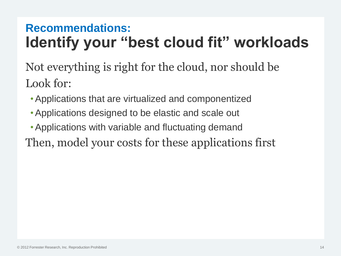### **Recommendations: Identify your "best cloud fit" workloads**

Not everything is right for the cloud, nor should be Look for:

- •Applications that are virtualized and componentized
- •Applications designed to be elastic and scale out
- •Applications with variable and fluctuating demand
- Then, model your costs for these applications first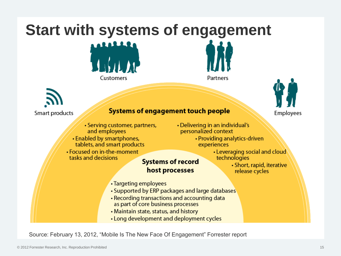# **Start with systems of engagement**





Partners



#### **Systems of engagement touch people**

- Serving customer, partners, and employees
- Enabled by smartphones, tablets, and smart products
- Focused on in-the-moment tasks and decisions
- Delivering in an individual's personalized context
	- Providing analytics-driven experiences
		- Leveraging social and cloud technologies

#### **Systems of record** host processes

• Short, rapid, iterative release cycles

Employees

- Targeting employees
- Supported by ERP packages and large databases
- Recording transactions and accounting data as part of core business processes
- . Maintain state, status, and history
- Long development and deployment cycles

Source: February 13, 2012, "Mobile Is The New Face Of Engagement" Forrester report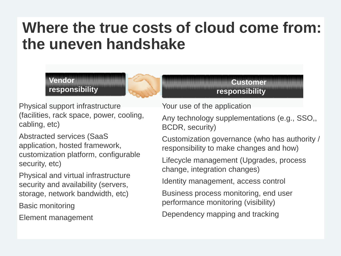### **Where the true costs of cloud come from: the uneven handshake**

#### **Vendor responsibility**



**Customer responsibility**

Physical support infrastructure (facilities, rack space, power, cooling, cabling, etc)

Abstracted services (SaaS application, hosted framework, customization platform, configurable security, etc)

Physical and virtual infrastructure security and availability (servers, storage, network bandwidth, etc)

Basic monitoring

Element management

Your use of the application

Any technology supplementations (e.g., SSO,, BCDR, security)

Customization governance (who has authority / responsibility to make changes and how)

Lifecycle management (Upgrades, process change, integration changes)

Identity management, access control

Business process monitoring, end user performance monitoring (visibility)

Dependency mapping and tracking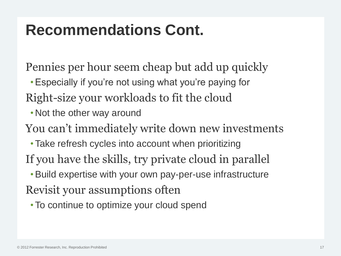### **Recommendations Cont.**

Pennies per hour seem cheap but add up quickly

- •Especially if you're not using what you're paying for
- Right-size your workloads to fit the cloud
	- Not the other way around

You can't immediately write down new investments

- Take refresh cycles into account when prioritizing
- If you have the skills, try private cloud in parallel
- •Build expertise with your own pay-per-use infrastructure Revisit your assumptions often
	- To continue to optimize your cloud spend